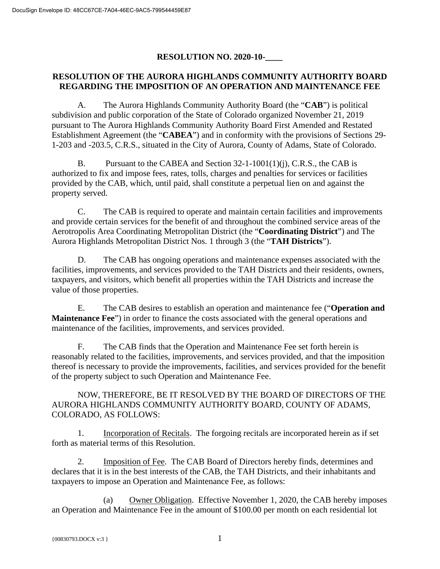## **RESOLUTION NO. 2020-10-\_\_\_\_**

## **RESOLUTION OF THE AURORA HIGHLANDS COMMUNITY AUTHORITY BOARD REGARDING THE IMPOSITION OF AN OPERATION AND MAINTENANCE FEE**

A. The Aurora Highlands Community Authority Board (the "**CAB**") is political subdivision and public corporation of the State of Colorado organized November 21, 2019 pursuant to The Aurora Highlands Community Authority Board First Amended and Restated Establishment Agreement (the "**CABEA**") and in conformity with the provisions of Sections 29- 1-203 and -203.5, C.R.S., situated in the City of Aurora, County of Adams, State of Colorado.

B. Pursuant to the CABEA and Section 32-1-1001(1)(j), C.R.S., the CAB is authorized to fix and impose fees, rates, tolls, charges and penalties for services or facilities provided by the CAB, which, until paid, shall constitute a perpetual lien on and against the property served.

C. The CAB is required to operate and maintain certain facilities and improvements and provide certain services for the benefit of and throughout the combined service areas of the Aerotropolis Area Coordinating Metropolitan District (the "**Coordinating District**") and The Aurora Highlands Metropolitan District Nos. 1 through 3 (the "**TAH Districts**").

D. The CAB has ongoing operations and maintenance expenses associated with the facilities, improvements, and services provided to the TAH Districts and their residents, owners, taxpayers, and visitors, which benefit all properties within the TAH Districts and increase the value of those properties.

E. The CAB desires to establish an operation and maintenance fee ("**Operation and Maintenance Fee**") in order to finance the costs associated with the general operations and maintenance of the facilities, improvements, and services provided.

F. The CAB finds that the Operation and Maintenance Fee set forth herein is reasonably related to the facilities, improvements, and services provided, and that the imposition thereof is necessary to provide the improvements, facilities, and services provided for the benefit of the property subject to such Operation and Maintenance Fee.

NOW, THEREFORE, BE IT RESOLVED BY THE BOARD OF DIRECTORS OF THE AURORA HIGHLANDS COMMUNITY AUTHORITY BOARD, COUNTY OF ADAMS, COLORADO, AS FOLLOWS:

1. Incorporation of Recitals. The forgoing recitals are incorporated herein as if set forth as material terms of this Resolution.

2. Imposition of Fee. The CAB Board of Directors hereby finds, determines and declares that it is in the best interests of the CAB, the TAH Districts, and their inhabitants and taxpayers to impose an Operation and Maintenance Fee, as follows:

(a) Owner Obligation. Effective November 1, 2020, the CAB hereby imposes an Operation and Maintenance Fee in the amount of \$100.00 per month on each residential lot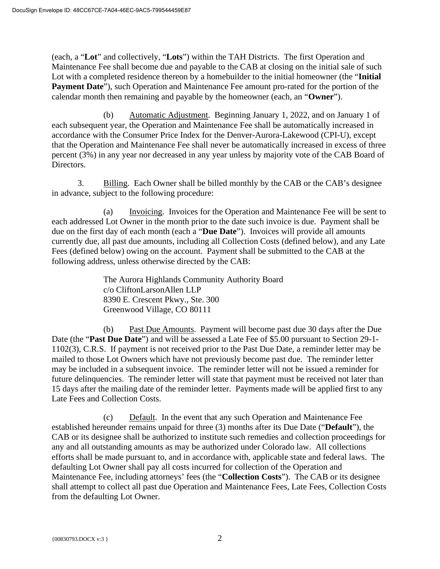(each, a "**Lot**" and collectively, "**Lots**") within the TAH Districts. The first Operation and Maintenance Fee shall become due and payable to the CAB at closing on the initial sale of such Lot with a completed residence thereon by a homebuilder to the initial homeowner (the "**Initial Payment Date**"), such Operation and Maintenance Fee amount pro-rated for the portion of the calendar month then remaining and payable by the homeowner (each, an "**Owner**").

(b) Automatic Adjustment. Beginning January 1, 2022, and on January 1 of each subsequent year, the Operation and Maintenance Fee shall be automatically increased in accordance with the Consumer Price Index for the Denver-Aurora-Lakewood (CPI-U), except that the Operation and Maintenance Fee shall never be automatically increased in excess of three percent (3%) in any year nor decreased in any year unless by majority vote of the CAB Board of Directors.

3. Billing. Each Owner shall be billed monthly by the CAB or the CAB's designee in advance, subject to the following procedure:

(a) Invoicing. Invoices for the Operation and Maintenance Fee will be sent to each addressed Lot Owner in the month prior to the date such invoice is due. Payment shall be due on the first day of each month (each a "**Due Date**"). Invoices will provide all amounts currently due, all past due amounts, including all Collection Costs (defined below), and any Late Fees (defined below) owing on the account. Payment shall be submitted to the CAB at the following address, unless otherwise directed by the CAB:

> The Aurora Highlands Community Authority Board c/o CliftonLarsonAllen LLP 8390 E. Crescent Pkwy., Ste. 300 Greenwood Village, CO 80111

(b) Past Due Amounts. Payment will become past due 30 days after the Due Date (the "**Past Due Date**") and will be assessed a Late Fee of \$5.00 pursuant to Section 29-1- 1102(3), C.R.S. If payment is not received prior to the Past Due Date, a reminder letter may be mailed to those Lot Owners which have not previously become past due. The reminder letter may be included in a subsequent invoice. The reminder letter will not be issued a reminder for future delinquencies. The reminder letter will state that payment must be received not later than 15 days after the mailing date of the reminder letter. Payments made will be applied first to any Late Fees and Collection Costs.

(c) Default. In the event that any such Operation and Maintenance Fee established hereunder remains unpaid for three (3) months after its Due Date ("**Default**"), the CAB or its designee shall be authorized to institute such remedies and collection proceedings for any and all outstanding amounts as may be authorized under Colorado law. All collections efforts shall be made pursuant to, and in accordance with, applicable state and federal laws. The defaulting Lot Owner shall pay all costs incurred for collection of the Operation and Maintenance Fee, including attorneys' fees (the "**Collection Costs**"). The CAB or its designee shall attempt to collect all past due Operation and Maintenance Fees, Late Fees, Collection Costs from the defaulting Lot Owner.